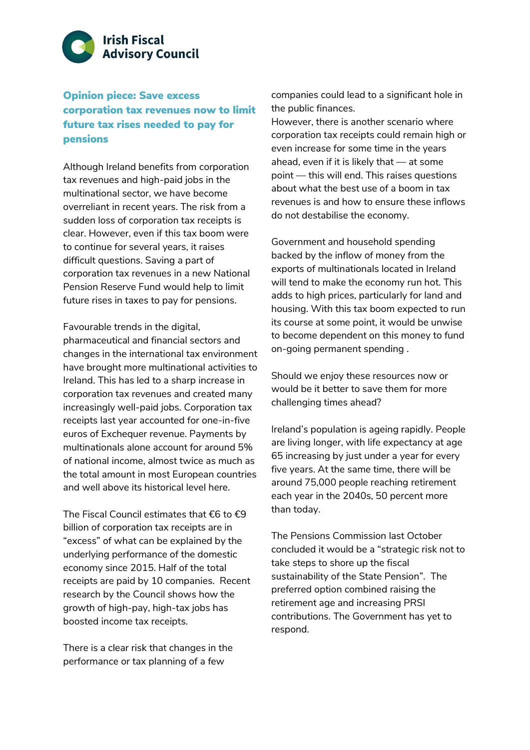

Opinion piece: Save excess corporation tax revenues now to limit future tax rises needed to pay for pensions

Although Ireland benefits from corporation tax revenues and high-paid jobs in the multinational sector, we have become overreliant in recent years. The risk from a sudden loss of corporation tax receipts is clear. However, even if this tax boom were to continue for several years, it raises difficult questions. Saving a part of corporation tax revenues in a new National Pension Reserve Fund would help to limit future rises in taxes to pay for pensions.

Favourable trends in the digital, pharmaceutical and financial sectors and changes in the international tax environment have brought more multinational activities to Ireland. This has led to a sharp increase in corporation tax revenues and created many increasingly well-paid jobs. Corporation tax receipts last year accounted for one-in-five euros of Exchequer revenue. Payments by multinationals alone account for around 5% of national income, almost twice as much as the total amount in most European countries and well above its historical level here.

The Fiscal Council estimates that €6 to €9 billion of corporation tax receipts are in "excess" of what can be explained by the underlying performance of the domestic economy since 2015. Half of the total receipts are paid by 10 companies. Recent research by the Council shows how the growth of high-pay, high-tax jobs has boosted income tax receipts.

There is a clear risk that changes in the performance or tax planning of a few

companies could lead to a significant hole in the public finances.

However, there is another scenario where corporation tax receipts could remain high or even increase for some time in the years ahead, even if it is likely that — at some point — this will end. This raises questions about what the best use of a boom in tax revenues is and how to ensure these inflows do not destabilise the economy.

Government and household spending backed by the inflow of money from the exports of multinationals located in Ireland will tend to make the economy run hot. This adds to high prices, particularly for land and housing. With this tax boom expected to run its course at some point, it would be unwise to become dependent on this money to fund on-going permanent spending .

Should we enjoy these resources now or would be it better to save them for more challenging times ahead?

Ireland's population is ageing rapidly. People are living longer, with life expectancy at age 65 increasing by just under a year for every five years. At the same time, there will be around 75,000 people reaching retirement each year in the 2040s, 50 percent more than today.

The Pensions Commission last October concluded it would be a "strategic risk not to take steps to shore up the fiscal sustainability of the State Pension". The preferred option combined raising the retirement age and increasing PRSI contributions. The Government has yet to respond.